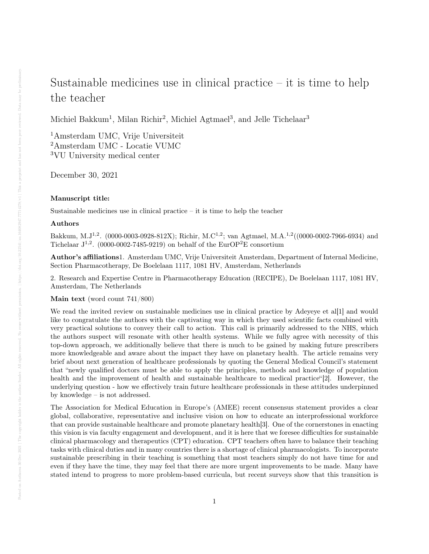## Sustainable medicines use in clinical practice  $-$  it is time to help the teacher

Michiel Bakkum<sup>1</sup>, Milan Richir<sup>2</sup>, Michiel Agtmael<sup>3</sup>, and Jelle Tichelaar<sup>3</sup>

<sup>1</sup>Amsterdam UMC, Vrije Universiteit <sup>2</sup>Amsterdam UMC - Locatie VUMC <sup>3</sup>VU University medical center

December 30, 2021

## Manuscript title:

Sustainable medicines use in clinical practice – it is time to help the teacher

## Authors

Bakkum, M.J1,2. (0000-0003-0928-812X); Richir, M.C1,2; van Agtmael, M.A.1,2((0000-0002-7966-6934) and Tichelaar  $J^{1,2}$ . (0000-0002-7485-9219) on behalf of the EurOP<sup>2</sup>E consortium

Author's affiliations1. Amsterdam UMC, Vrije Universiteit Amsterdam, Department of Internal Medicine, Section Pharmacotherapy, De Boelelaan 1117, 1081 HV, Amsterdam, Netherlands

2. Research and Expertise Centre in Pharmacotherapy Education (RECIPE), De Boelelaan 1117, 1081 HV, Amsterdam, The Netherlands

Main text (word count 741/800)

We read the invited review on sustainable medicines use in clinical practice by Adeyeye et al[1] and would like to congratulate the authors with the captivating way in which they used scientific facts combined with very practical solutions to convey their call to action. This call is primarily addressed to the NHS, which the authors suspect will resonate with other health systems. While we fully agree with necessity of this top-down approach, we additionally believe that there is much to be gained by making future prescribers more knowledgeable and aware about the impact they have on planetary health. The article remains very brief about next generation of healthcare professionals by quoting the General Medical Council's statement that "newly qualified doctors must be able to apply the principles, methods and knowledge of population health and the improvement of health and sustainable healthcare to medical practice"[2]. However, the underlying question - how we effectively train future healthcare professionals in these attitudes underpinned by knowledge – is not addressed.

The Association for Medical Education in Europe's (AMEE) recent consensus statement provides a clear global, collaborative, representative and inclusive vision on how to educate an interprofessional workforce that can provide sustainable healthcare and promote planetary health[3]. One of the cornerstones in enacting this vision is via faculty engagement and development, and it is here that we foresee difficulties for sustainable clinical pharmacology and therapeutics (CPT) education. CPT teachers often have to balance their teaching tasks with clinical duties and in many countries there is a shortage of clinical pharmacologists. To incorporate sustainable prescribing in their teaching is something that most teachers simply do not have time for and even if they have the time, they may feel that there are more urgent improvements to be made. Many have stated intend to progress to more problem-based curricula, but recent surveys show that this transition is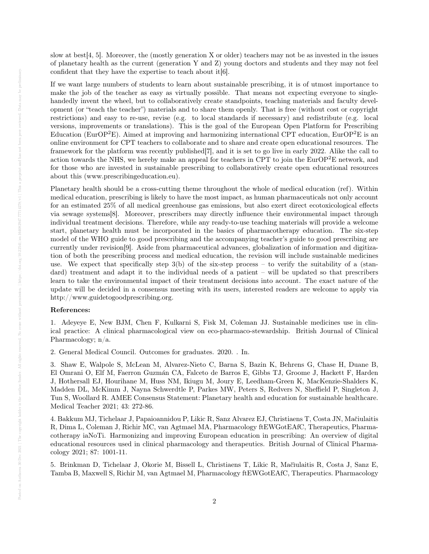slow at best[4, 5]. Moreover, the (mostly generation X or older) teachers may not be as invested in the issues of planetary health as the current (generation Y and Z) young doctors and students and they may not feel confident that they have the expertise to teach about it[6].

If we want large numbers of students to learn about sustainable prescribing, it is of utmost importance to make the job of the teacher as easy as virtually possible. That means not expecting everyone to singlehandedly invent the wheel, but to collaboratively create standpoints, teaching materials and faculty development (or "teach the teacher") materials and to share them openly. That is free (without cost or copyright restrictions) and easy to re-use, revise (e.g. to local standards if necessary) and redistribute (e.g. local versions, improvements or translations). This is the goal of the European Open Platform for Prescribing Education (EurOP<sup>2</sup>E). Aimed at improving and harmonizing international CPT education, EurOP<sup>2</sup>E is an online environment for CPT teachers to collaborate and to share and create open educational resources. The framework for the platform was recently published[7], and it is set to go live in early 2022. Alike the call to action towards the NHS, we hereby make an appeal for teachers in CPT to join the  $EurOP<sup>2</sup>E$  network, and for those who are invested in sustainable prescribing to collaboratively create open educational resources about this (www.prescribingeducation.eu).

Planetary health should be a cross-cutting theme throughout the whole of medical education (ref). Within medical education, prescribing is likely to have the most impact, as human pharmaceuticals not only account for an estimated 25% of all medical greenhouse gas emissions, but also exert direct ecotoxicological effects via sewage systems[8]. Moreover, prescribers may directly influence their environmental impact through individual treatment decisions. Therefore, while any ready-to-use teaching materials will provide a welcome start, planetary health must be incorporated in the basics of pharmacotherapy education. The six-step model of the WHO guide to good prescribing and the accompanying teacher's guide to good prescribing are currently under revision[9]. Aside from pharmaceutical advances, globalization of information and digitization of both the prescribing process and medical education, the revision will include sustainable medicines use. We expect that specifically step  $3(b)$  of the six-step process – to verify the suitability of a (standard) treatment and adapt it to the individual needs of a patient – will be updated so that prescribers learn to take the environmental impact of their treatment decisions into account. The exact nature of the update will be decided in a consensus meeting with its users, interested readers are welcome to apply via http://www.guidetogoodprescribing.org.

## References:

1. Adeyeye E, New BJM, Chen F, Kulkarni S, Fisk M, Coleman JJ. Sustainable medicines use in clinical practice: A clinical pharmacological view on eco-pharmaco-stewardship. British Journal of Clinical Pharmacology; n/a.

2. General Medical Council. Outcomes for graduates. 2020. . In.

3. Shaw E, Walpole S, McLean M, Alvarez-Nieto C, Barna S, Bazin K, Behrens G, Chase H, Duane B, El Omrani O, Elf M, Faerron Guzmán CA, Falceto de Barros E, Gibbs TJ, Groome J, Hackett F, Harden J, Hothersall EJ, Hourihane M, Huss NM, Ikiugu M, Joury E, Leedham-Green K, MacKenzie-Shalders K, Madden DL, McKimm J, Nayna Schwerdtle P, Parkes MW, Peters S, Redvers N, Sheffield P, Singleton J, Tun S, Woollard R. AMEE Consensus Statement: Planetary health and education for sustainable healthcare. Medical Teacher 2021; 43: 272-86.

4. Bakkum MJ, Tichelaar J, Papaioannidou P, Likic R, Sanz Alvarez EJ, Christiaens T, Costa JN, Mačiulaitis R, Dima L, Coleman J, Richir MC, van Agtmael MA, Pharmacology ftEWGotEAfC, Therapeutics, Pharmacotherapy iaNoTi. Harmonizing and improving European education in prescribing: An overview of digital educational resources used in clinical pharmacology and therapeutics. British Journal of Clinical Pharmacology 2021; 87: 1001-11.

5. Brinkman D, Tichelaar J, Okorie M, Bissell L, Christiaens T, Likic R, Mačiulaitis R, Costa J, Sanz E, Tamba B, Maxwell S, Richir M, van Agtmael M, Pharmacology ftEWGotEAfC, Therapeutics. Pharmacology